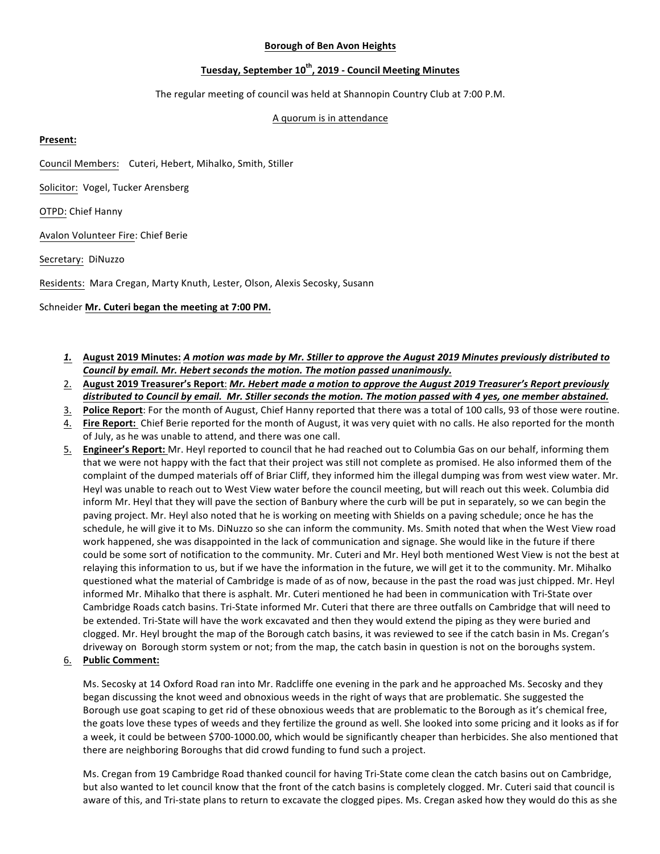#### **Borough of Ben Avon Heights**

# **Tuesday, September 10th, 2019 - Council Meeting Minutes**

The regular meeting of council was held at Shannopin Country Club at 7:00 P.M.

## A quorum is in attendance

## **Present:**

Council Members: Cuteri, Hebert, Mihalko, Smith, Stiller

Solicitor: Vogel, Tucker Arensberg

OTPD: Chief Hanny

Avalon Volunteer Fire: Chief Berie

Secretary: DiNuzzo 

Residents: Mara Cregan, Marty Knuth, Lester, Olson, Alexis Secosky, Susann

#### Schneider Mr. Cuteri began the meeting at 7:00 PM.

- *1.* **August 2019 Minutes:** *A motion was made by Mr. Stiller to approve the August 2019 Minutes previously distributed to* **Council by email. Mr. Hebert seconds the motion. The motion passed unanimously.**
- 2. August 2019 Treasurer's Report: *Mr. Hebert made a motion to approve the August 2019 Treasurer's Report previously* distributed to Council by email. Mr. Stiller seconds the motion. The motion passed with 4 yes, one member abstained.
- 3. Police Report: For the month of August, Chief Hanny reported that there was a total of 100 calls, 93 of those were routine.
- 4. Fire Report: Chief Berie reported for the month of August, it was very quiet with no calls. He also reported for the month of July, as he was unable to attend, and there was one call.
- 5. **Engineer's Report:** Mr. Heyl reported to council that he had reached out to Columbia Gas on our behalf, informing them that we were not happy with the fact that their project was still not complete as promised. He also informed them of the complaint of the dumped materials off of Briar Cliff, they informed him the illegal dumping was from west view water. Mr. Heyl was unable to reach out to West View water before the council meeting, but will reach out this week. Columbia did inform Mr. Heyl that they will pave the section of Banbury where the curb will be put in separately, so we can begin the paving project. Mr. Heyl also noted that he is working on meeting with Shields on a paving schedule; once he has the schedule, he will give it to Ms. DiNuzzo so she can inform the community. Ms. Smith noted that when the West View road work happened, she was disappointed in the lack of communication and signage. She would like in the future if there could be some sort of notification to the community. Mr. Cuteri and Mr. Heyl both mentioned West View is not the best at relaying this information to us, but if we have the information in the future, we will get it to the community. Mr. Mihalko questioned what the material of Cambridge is made of as of now, because in the past the road was just chipped. Mr. Heyl informed Mr. Mihalko that there is asphalt. Mr. Cuteri mentioned he had been in communication with Tri-State over Cambridge Roads catch basins. Tri-State informed Mr. Cuteri that there are three outfalls on Cambridge that will need to be extended. Tri-State will have the work excavated and then they would extend the piping as they were buried and clogged. Mr. Heyl brought the map of the Borough catch basins, it was reviewed to see if the catch basin in Ms. Cregan's driveway on Borough storm system or not; from the map, the catch basin in question is not on the boroughs system.

# 6. **Public Comment:**

Ms. Secosky at 14 Oxford Road ran into Mr. Radcliffe one evening in the park and he approached Ms. Secosky and they began discussing the knot weed and obnoxious weeds in the right of ways that are problematic. She suggested the Borough use goat scaping to get rid of these obnoxious weeds that are problematic to the Borough as it's chemical free, the goats love these types of weeds and they fertilize the ground as well. She looked into some pricing and it looks as if for a week, it could be between \$700-1000.00, which would be significantly cheaper than herbicides. She also mentioned that there are neighboring Boroughs that did crowd funding to fund such a project.

Ms. Cregan from 19 Cambridge Road thanked council for having Tri-State come clean the catch basins out on Cambridge, but also wanted to let council know that the front of the catch basins is completely clogged. Mr. Cuteri said that council is aware of this, and Tri-state plans to return to excavate the clogged pipes. Ms. Cregan asked how they would do this as she